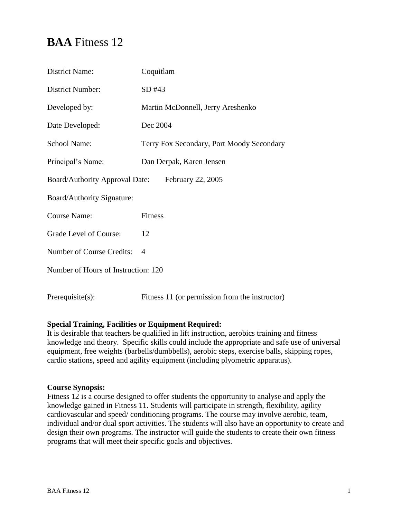# **BAA** Fitness 12

| <b>District Name:</b>               | Coquitlam                                      |  |
|-------------------------------------|------------------------------------------------|--|
| District Number:                    | SD #43                                         |  |
| Developed by:                       | Martin McDonnell, Jerry Areshenko              |  |
| Date Developed:                     | Dec 2004                                       |  |
| School Name:                        | Terry Fox Secondary, Port Moody Secondary      |  |
| Principal's Name:                   | Dan Derpak, Karen Jensen                       |  |
| Board/Authority Approval Date:      | February 22, 2005                              |  |
| Board/Authority Signature:          |                                                |  |
| <b>Course Name:</b>                 | Fitness                                        |  |
| Grade Level of Course:              | 12                                             |  |
| Number of Course Credits:           | $\overline{4}$                                 |  |
| Number of Hours of Instruction: 120 |                                                |  |
| Prerequires):                       | Fitness 11 (or permission from the instructor) |  |

# **Special Training, Facilities or Equipment Required:**

It is desirable that teachers be qualified in lift instruction, aerobics training and fitness knowledge and theory. Specific skills could include the appropriate and safe use of universal equipment, free weights (barbells/dumbbells), aerobic steps, exercise balls, skipping ropes, cardio stations, speed and agility equipment (including plyometric apparatus).

# **Course Synopsis:**

Fitness 12 is a course designed to offer students the opportunity to analyse and apply the knowledge gained in Fitness 11. Students will participate in strength, flexibility, agility cardiovascular and speed/ conditioning programs. The course may involve aerobic, team, individual and/or dual sport activities. The students will also have an opportunity to create and design their own programs. The instructor will guide the students to create their own fitness programs that will meet their specific goals and objectives.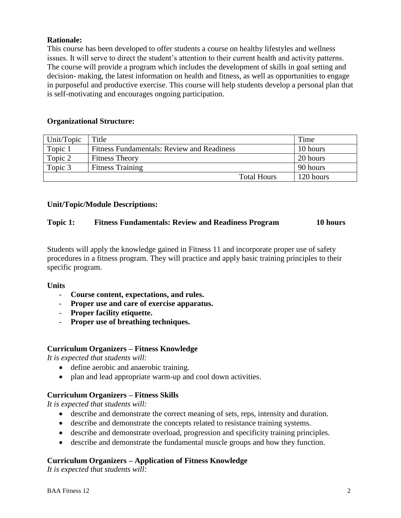# **Rationale:**

This course has been developed to offer students a course on healthy lifestyles and wellness issues. It will serve to direct the student's attention to their current health and activity patterns. The course will provide a program which includes the development of skills in goal setting and decision- making, the latest information on health and fitness, as well as opportunities to engage in purposeful and productive exercise. This course will help students develop a personal plan that is self-motivating and encourages ongoing participation.

# **Organizational Structure:**

| Unit/Topic | Title                                      | Time      |
|------------|--------------------------------------------|-----------|
| Topic 1    | Fitness Fundamentals: Review and Readiness | 10 hours  |
| Topic 2    | <b>Fitness Theory</b>                      | 20 hours  |
| Topic 3    | <b>Fitness Training</b>                    | 90 hours  |
|            | <b>Total Hours</b>                         | 120 hours |

# **Unit/Topic/Module Descriptions:**

# **Topic 1: Fitness Fundamentals: Review and Readiness Program 10 hours**

Students will apply the knowledge gained in Fitness 11 and incorporate proper use of safety procedures in a fitness program. They will practice and apply basic training principles to their specific program.

# **Units**

- **Course content, expectations, and rules.**
- **Proper use and care of exercise apparatus.**
- **Proper facility etiquette.**
- **Proper use of breathing techniques.**

# **Curriculum Organizers – Fitness Knowledge**

*It is expected that students will:*

- define aerobic and anaerobic training.
- plan and lead appropriate warm-up and cool down activities.

# **Curriculum Organizers – Fitness Skills**

*It is expected that students will:*

- describe and demonstrate the correct meaning of sets, reps, intensity and duration.
- describe and demonstrate the concepts related to resistance training systems.
- describe and demonstrate overload, progression and specificity training principles.
- describe and demonstrate the fundamental muscle groups and how they function.

# **Curriculum Organizers – Application of Fitness Knowledge**

*It is expected that students will:*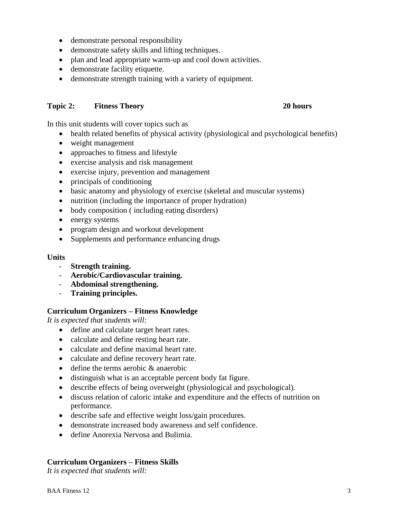- demonstrate personal responsibility
- demonstrate safety skills and lifting techniques.
- plan and lead appropriate warm-up and cool down activities.
- demonstrate facility etiquette.
- demonstrate strength training with a variety of equipment.

# **Topic 2: Fitness Theory 20 hours**

In this unit students will cover topics such as

- health related benefits of physical activity (physiological and psychological benefits)
- weight management
- approaches to fitness and lifestyle
- exercise analysis and risk management
- exercise injury, prevention and management
- principals of conditioning
- basic anatomy and physiology of exercise (skeletal and muscular systems)
- nutrition (including the importance of proper hydration)
- body composition (including eating disorders)
- energy systems
- program design and workout development
- Supplements and performance enhancing drugs

### **Units**

- **Strength training.**
- **Aerobic/Cardiovascular training.**
- **Abdominal strengthening.**
- **Training principles.**

# **Curriculum Organizers – Fitness Knowledge**

*It is expected that students will:*

- define and calculate target heart rates.
- calculate and define resting heart rate.
- calculate and define maximal heart rate.
- calculate and define recovery heart rate.
- define the terms aerobic & anaerobic
- distinguish what is an acceptable percent body fat figure.
- describe effects of being overweight (physiological and psychological).
- discuss relation of caloric intake and expenditure and the effects of nutrition on performance.
- describe safe and effective weight loss/gain procedures.
- demonstrate increased body awareness and self confidence.
- define Anorexia Nervosa and Bulimia.

# **Curriculum Organizers – Fitness Skills**

*It is expected that students will:*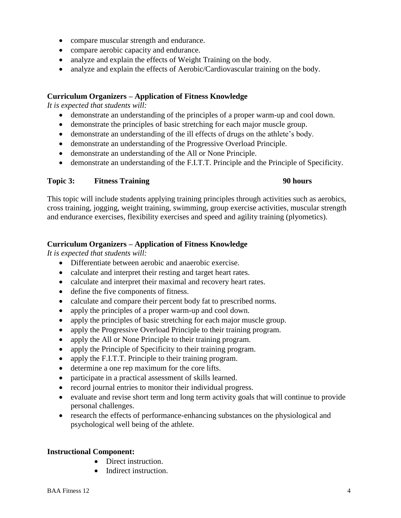- compare muscular strength and endurance.
- compare aerobic capacity and endurance.
- analyze and explain the effects of Weight Training on the body.
- analyze and explain the effects of Aerobic/Cardiovascular training on the body.

# **Curriculum Organizers – Application of Fitness Knowledge**

*It is expected that students will:*

- demonstrate an understanding of the principles of a proper warm-up and cool down.
- demonstrate the principles of basic stretching for each major muscle group.
- demonstrate an understanding of the ill effects of drugs on the athlete's body.
- demonstrate an understanding of the Progressive Overload Principle.
- demonstrate an understanding of the All or None Principle.
- demonstrate an understanding of the F.I.T.T. Principle and the Principle of Specificity.

### **Topic 3: Fitness Training 90 hours**

This topic will include students applying training principles through activities such as aerobics, cross training, jogging, weight training, swimming, group exercise activities, muscular strength and endurance exercises, flexibility exercises and speed and agility training (plyometics).

# **Curriculum Organizers – Application of Fitness Knowledge**

*It is expected that students will:*

- Differentiate between aerobic and anaerobic exercise.
- calculate and interpret their resting and target heart rates.
- calculate and interpret their maximal and recovery heart rates.
- define the five components of fitness.
- calculate and compare their percent body fat to prescribed norms.
- apply the principles of a proper warm-up and cool down.
- apply the principles of basic stretching for each major muscle group.
- apply the Progressive Overload Principle to their training program.
- apply the All or None Principle to their training program.
- apply the Principle of Specificity to their training program.
- apply the F.I.T.T. Principle to their training program.
- determine a one rep maximum for the core lifts.
- participate in a practical assessment of skills learned.
- record journal entries to monitor their individual progress.
- evaluate and revise short term and long term activity goals that will continue to provide personal challenges.
- research the effects of performance-enhancing substances on the physiological and psychological well being of the athlete.

# **Instructional Component:**

- Direct instruction.
- Indirect instruction.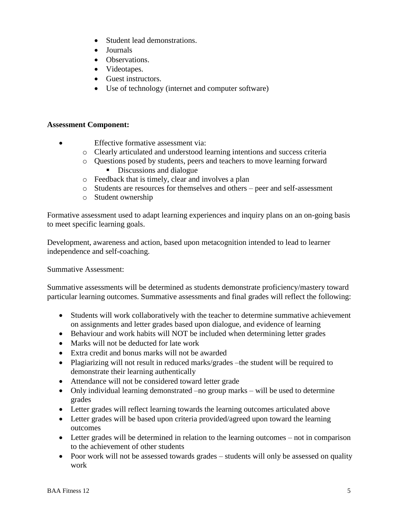- Student lead demonstrations.
- Journals
- Observations.
- Videotapes.
- Guest instructors.
- Use of technology (internet and computer software)

# **Assessment Component:**

- Effective formative assessment via:
	- o Clearly articulated and understood learning intentions and success criteria
	- o Questions posed by students, peers and teachers to move learning forward Discussions and dialogue
	- o Feedback that is timely, clear and involves a plan
	- o Students are resources for themselves and others peer and self-assessment
	- o Student ownership

Formative assessment used to adapt learning experiences and inquiry plans on an on-going basis to meet specific learning goals.

Development, awareness and action, based upon metacognition intended to lead to learner independence and self-coaching.

Summative Assessment:

Summative assessments will be determined as students demonstrate proficiency/mastery toward particular learning outcomes. Summative assessments and final grades will reflect the following:

- Students will work collaboratively with the teacher to determine summative achievement on assignments and letter grades based upon dialogue, and evidence of learning
- Behaviour and work habits will NOT be included when determining letter grades
- Marks will not be deducted for late work
- Extra credit and bonus marks will not be awarded
- Plagiarizing will not result in reduced marks/grades –the student will be required to demonstrate their learning authentically
- Attendance will not be considered toward letter grade
- Only individual learning demonstrated –no group marks will be used to determine grades
- Letter grades will reflect learning towards the learning outcomes articulated above
- Letter grades will be based upon criteria provided/agreed upon toward the learning outcomes
- Letter grades will be determined in relation to the learning outcomes not in comparison to the achievement of other students
- Poor work will not be assessed towards grades students will only be assessed on quality work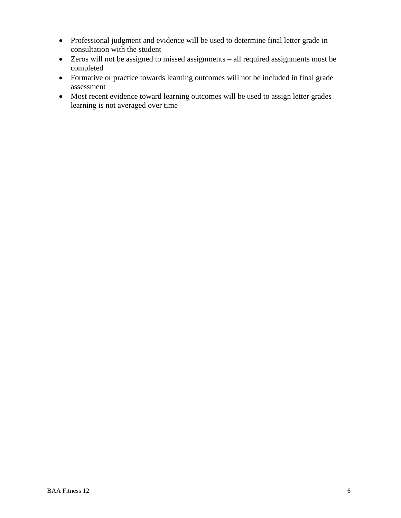- Professional judgment and evidence will be used to determine final letter grade in consultation with the student
- Zeros will not be assigned to missed assignments all required assignments must be completed
- Formative or practice towards learning outcomes will not be included in final grade assessment
- Most recent evidence toward learning outcomes will be used to assign letter grades learning is not averaged over time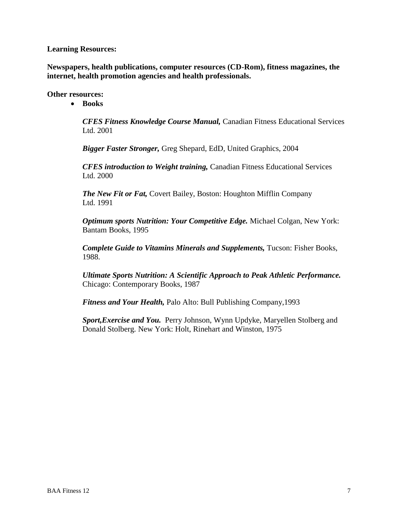### **Learning Resources:**

**Newspapers, health publications, computer resources (CD-Rom), fitness magazines, the internet, health promotion agencies and health professionals.**

### **Other resources:**

**Books**

*CFES Fitness Knowledge Course Manual,* Canadian Fitness Educational Services Ltd. 2001

*Bigger Faster Stronger,* Greg Shepard, EdD, United Graphics, 2004

*CFES introduction to Weight training,* Canadian Fitness Educational Services Ltd. 2000

*The New Fit or Fat,* Covert Bailey, Boston: Houghton Mifflin Company Ltd. 1991

*Optimum sports Nutrition: Your Competitive Edge.* Michael Colgan, New York: Bantam Books, 1995

*Complete Guide to Vitamins Minerals and Supplements,* Tucson: Fisher Books, 1988.

*Ultimate Sports Nutrition: A Scientific Approach to Peak Athletic Performance.*  Chicago: Contemporary Books, 1987

*Fitness and Your Health,* Palo Alto: Bull Publishing Company,1993

*Sport,Exercise and You.* Perry Johnson, Wynn Updyke, Maryellen Stolberg and Donald Stolberg. New York: Holt, Rinehart and Winston, 1975